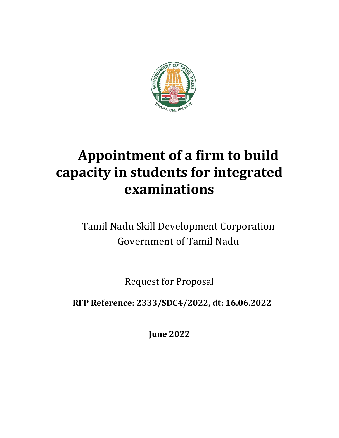

# **Appointment of a firm to build capacity in students for integrated examinations**

Tamil Nadu Skill Development Corporation Government of Tamil Nadu

Request for Proposal

**RFP Reference: 2333/SDC4/2022, dt: 16.06.2022**

**June 2022**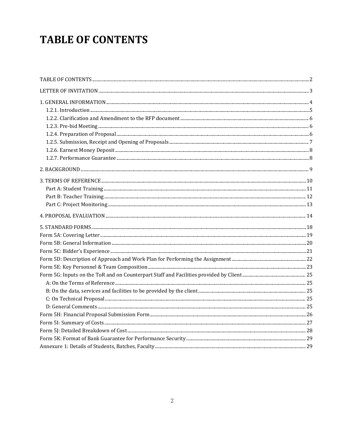# <span id="page-1-0"></span>**TABLE OF CONTENTS**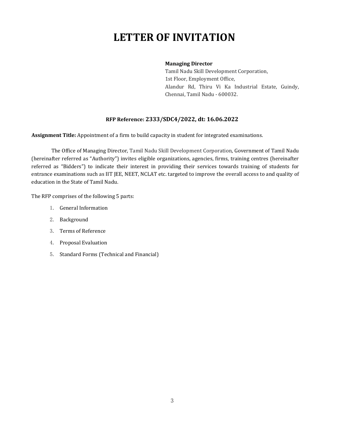# <span id="page-2-0"></span>**LETTER OF INVITATION**

### **Managing Director**

Tamil Nadu Skill Development Corporation, 1st Floor, Employment Office, Alandur Rd, Thiru Vi Ka Industrial Estate, Guindy, Chennai, Tamil Nadu - 600032.

## **RFP Reference: 2333/SDC4/2022, dt: 16.06.2022**

**Assignment Title:** Appointment of a firm to build capacity in student for integrated examinations.

The Office of Managing Director, Tamil Nadu Skill Development Corporation, Government of Tamil Nadu (hereinafter referred as "Authority") invites eligible organizations, agencies, firms, training centres (hereinafter referred as "Bidders") to indicate their interest in providing their services towards training of students for entrance examinations such as IIT JEE, NEET, NCLAT etc. targeted to improve the overall access to and quality of education in the State of Tamil Nadu.

The RFP comprises of the following 5 parts:

- 1. General Information
- 2. Background
- 3. Terms of Reference
- 4. Proposal Evaluation
- 5. Standard Forms (Technical and Financial)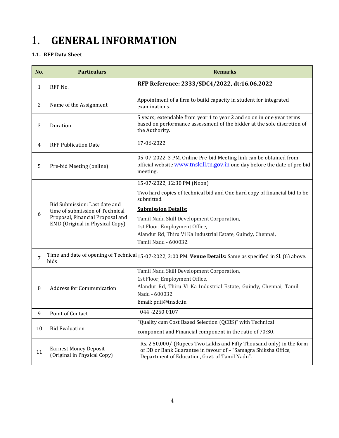# <span id="page-3-0"></span>1. **GENERAL INFORMATION**

# **1.1. RFP Data Sheet**

| No. | <b>Particulars</b>                                                                                                                      | <b>Remarks</b>                                                                                                                                                                            |
|-----|-----------------------------------------------------------------------------------------------------------------------------------------|-------------------------------------------------------------------------------------------------------------------------------------------------------------------------------------------|
| 1   | RFP No.                                                                                                                                 | RFP Reference: 2333/SDC4/2022, dt:16.06.2022                                                                                                                                              |
| 2   | Name of the Assignment                                                                                                                  | Appointment of a firm to build capacity in student for integrated<br>examinations.                                                                                                        |
| 3   | Duration                                                                                                                                | 5 years; extendable from year 1 to year 2 and so on in one year terms<br>based on performance assessment of the bidder at the sole discretion of<br>the Authority.                        |
| 4   | <b>RFP Publication Date</b>                                                                                                             | 17-06-2022                                                                                                                                                                                |
| 5   | Pre-bid Meeting (online)                                                                                                                | 05-07-2022, 3 PM. Online Pre-bid Meeting link can be obtained from<br>official website <b>www.tnskill.tn.gov.in</b> one day before the date of pre bid<br>meeting.                        |
|     |                                                                                                                                         | 15-07-2022, 12:30 PM (Noon)                                                                                                                                                               |
|     |                                                                                                                                         | Two hard copies of technical bid and One hard copy of financial bid to be<br>submitted.                                                                                                   |
|     | Bid Submission: Last date and<br>time of submission of Technical<br>Proposal, Financial Proposal and<br>EMD (Original in Physical Copy) | <b>Submission Details:</b>                                                                                                                                                                |
| 6   |                                                                                                                                         | Tamil Nadu Skill Development Corporation,                                                                                                                                                 |
|     |                                                                                                                                         | 1st Floor, Employment Office,                                                                                                                                                             |
|     |                                                                                                                                         | Alandur Rd, Thiru Vi Ka Industrial Estate, Guindy, Chennai,<br>Tamil Nadu - 600032.                                                                                                       |
| 7   | bids                                                                                                                                    | Time and date of opening of Technical $ 15-07-2022, 3:00$ PM. <b>Venue Details:</b> Same as specified in Sl. (6) above.                                                                   |
|     |                                                                                                                                         | Tamil Nadu Skill Development Corporation,                                                                                                                                                 |
|     | <b>Address for Communication</b>                                                                                                        | 1st Floor, Employment Office,                                                                                                                                                             |
| 8   |                                                                                                                                         | Alandur Rd, Thiru Vi Ka Industrial Estate, Guindy, Chennai, Tamil<br>Nadu - 600032.                                                                                                       |
|     |                                                                                                                                         | Email: pdti@tnsdc.in                                                                                                                                                                      |
| 9   | Point of Contact                                                                                                                        | 044 - 2250 0107                                                                                                                                                                           |
|     |                                                                                                                                         | "Quality cum Cost Based Selection (QCBS)" with Technical                                                                                                                                  |
| 10  | <b>Bid Evaluation</b>                                                                                                                   | component and Financial component in the ratio of 70:30.                                                                                                                                  |
| 11  | <b>Earnest Money Deposit</b><br>(Original in Physical Copy)                                                                             | Rs. 2,50,000/-(Rupees Two Lakhs and Fifty Thousand only) in the form<br>of DD or Bank Guarantee in favour of - "Samagra Shiksha Office,<br>Department of Education, Govt. of Tamil Nadu". |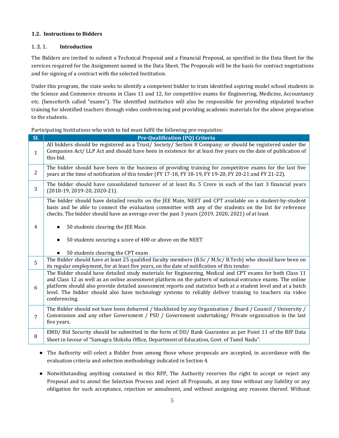## **1.2. Instructions to Bidders**

## <span id="page-4-0"></span>1.2.1. **Introduction**

The Bidders are invited to submit a Technical Proposal and a Financial Proposal, as specified in the Data Sheet for the services required for the Assignment named in the Data Sheet. The Proposals will be the basis for contract negotiations and for signing of a contract with the selected Institution.

Under this program, the state seeks to identify a competent bidder to train identified aspiring model school students in the Science and Commerce streams in Class 11 and 12, for competitive exams for Engineering, Medicine, Accountancy etc. (henceforth called "exams"). The identified institution will also be responsible for providing stipulated teacher training for identified teachers through video conferencing and providing academic materials for the above preparation to the students.

Participating Institutions who wish to bid must fulfil the following pre-requisites:

| SI.            | <b>Pre-Qualification (PQ) Criteria</b>                                                                                                                                                                                                                                                                                                                                                                                                                                 |  |  |  |
|----------------|------------------------------------------------------------------------------------------------------------------------------------------------------------------------------------------------------------------------------------------------------------------------------------------------------------------------------------------------------------------------------------------------------------------------------------------------------------------------|--|--|--|
| $\mathbf{1}$   | All bidders should be registered as a Trust/ Society/ Section 8 Company; or should be registered under the<br>Companies Act/LLP Act and should have been in existence for at least five years on the date of publication of<br>this bid.                                                                                                                                                                                                                               |  |  |  |
| 2              | The bidder should have been in the business of providing training for competitive exams for the last five<br>years at the time of notification of this tender (FY 17-18, FY 18-19, FY 19-20, FY 20-21 and FY 21-22).                                                                                                                                                                                                                                                   |  |  |  |
| 3              | The bidder should have consolidated turnover of at least Rs. 5 Crore in each of the last 3 financial years<br>(2018-19, 2019-20, 2020-21).                                                                                                                                                                                                                                                                                                                             |  |  |  |
|                | The bidder should have detailed results on the JEE Main, NEET and CPT available on a student-by-student<br>basis and be able to connect the evaluation committee with any of the students on the list for reference<br>checks. The bidder should have an average over the past 3 years (2019, 2020, 2021) of at least                                                                                                                                                  |  |  |  |
| 4              | 50 students clearing the JEE Main<br>$\bullet$                                                                                                                                                                                                                                                                                                                                                                                                                         |  |  |  |
|                | 50 students securing a score of 400 or above on the NEET<br>$\bullet$                                                                                                                                                                                                                                                                                                                                                                                                  |  |  |  |
|                | 50 students clearing the CPT exam                                                                                                                                                                                                                                                                                                                                                                                                                                      |  |  |  |
| 5              | The Bidder should have at least 25 qualified faculty members (B.Sc / M.Sc/ B.Tech) who should have been on<br>its regular employment, for at least five years, on the date of notification of this tender.                                                                                                                                                                                                                                                             |  |  |  |
| 6              | The Bidder should have detailed study materials for Engineering, Medical and CPT exams for both Class 11<br>and Class 12 as well as an online assessment platform on the pattern of national entrance exams. The online<br>platform should also provide detailed assessment reports and statistics both at a student level and at a batch<br>level. The bidder should also have technology systems to reliably deliver training to teachers via video<br>conferencing. |  |  |  |
| $\overline{7}$ | The Bidder should not have been debarred / blacklisted by any Organization / Board / Council / University /<br>Commission and any other Government / PSU / Government undertaking/ Private organisation in the last<br>five years.                                                                                                                                                                                                                                     |  |  |  |
| 8              | EMD/ Bid Security should be submitted in the form of DD/ Bank Guarantee as per Point 11 of the RfP Data<br>Sheet in favour of "Samagra Shiksha Office, Department of Education, Govt. of Tamil Nadu".                                                                                                                                                                                                                                                                  |  |  |  |

- The Authority will select a Bidder from among those whose proposals are accepted, in accordance with the evaluation criteria and selection methodology indicated in Section 4.
- Notwithstanding anything contained in this RFP, The Authority reserves the right to accept or reject any Proposal and to annul the Selection Process and reject all Proposals, at any time without any liability or any obligation for such acceptance, rejection or annulment, and without assigning any reasons thereof. Without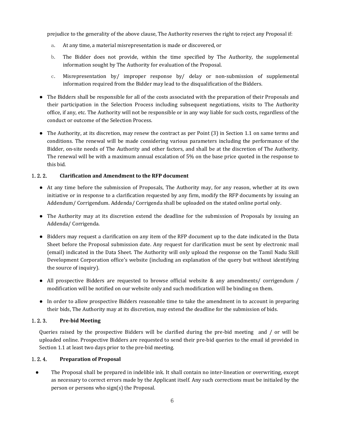prejudice to the generality of the above clause, The Authority reserves the right to reject any Proposal if:

- a. At any time, a material misrepresentation is made or discovered, or
- b. The Bidder does not provide, within the time specified by The Authority, the supplemental information sought by The Authority for evaluation of the Proposal.
- $c.$  Misrepresentation by/ improper response by/ delay or non-submission of supplemental information required from the Bidder may lead to the disqualification of the Bidders.
- The Bidders shall be responsible for all of the costs associated with the preparation of their Proposals and their participation in the Selection Process including subsequent negotiations, visits to The Authority office, if any, etc. The Authority will not be responsible or in any way liable forsuch costs, regardless of the conduct or outcome of the Selection Process.
- The Authority, at its discretion, may renew the contract as per Point (3) in Section 1.1 on same terms and conditions. The renewal will be made considering various parameters including the performance of the Bidder, on-site needs of The Authority and other factors, and shall be at the discretion of The Authority. The renewal will be with a maximum annual escalation of 5% on the base pricequoted in the response to this bid.

#### 1.2.2. **Clarification and Amendment to the RFP document**

- <span id="page-5-0"></span>● At any time before the submission of Proposals, The Authority may, for any reason, whether at its own initiative or in response to a clarification requested by any firm, modify the RFP documents by issuing an Addendum/ Corrigendum. Addenda/ Corrigenda shall be uploaded on the stated online portal only.
- The Authority may at its discretion extend the deadline for the submission of Proposals by issuing an Addenda/ Corrigenda.
- Bidders may request a clarification on any item of the RFP document up to the date indicated in the Data Sheet before the Proposal submission date. Any request for clarification must be sent by electronic mail (email) indicated in the Data Sheet. The Authority will only upload the response on the Tamil Nadu Skill Development Corporation office's website (including an explanation of the query but without identifying the source of inquiry).
- All prospective Bidders are requested to browse official website & any amendments/ corrigendum / modification will be notified on our website only and such modification will be binding on them.
- In order to allow prospective Bidders reasonable time to take the amendment in to accountin preparing their bids, The Authority may at its discretion, may extend the deadline for the submission of bids.

### 1.2.3. **Pre-bid Meeting**

<span id="page-5-1"></span>Queries raised by the prospective Bidders will be clarified during the pre-bid meeting and / or will be uploaded online. Prospective Bidders are requested to send their pre-bid queries to the email id provided in Section 1.1 at least two days prior to the pre-bid meeting.

### <span id="page-5-2"></span>1.2.4. **Preparation of Proposal**

• The Proposal shall be prepared in indelible ink. It shall contain no inter-lineation or overwriting, except as necessary to correct errors made by the Applicant itself. Any such corrections must be initialed by the person or persons who sign(s) the Proposal.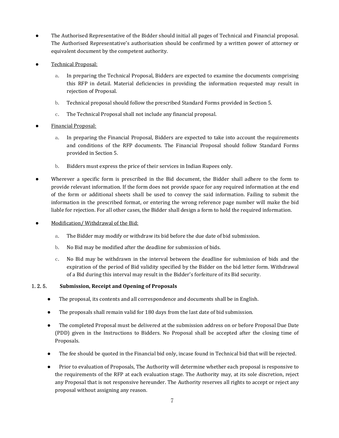- The Authorised Representative of the Bidder should initial all pages of Technical and Financial proposal. The Authorised Representative's authorisation should be confirmed by a written power of attorney or equivalent document by the competent authority.
- Technical Proposal:
	- a. In preparing the Technical Proposal, Bidders are expected to examine the documents comprising this RFP in detail. Material deficiencies in providing the information requested may result in rejection of Proposal.
	- b. Technical proposal should follow the prescribed Standard Forms provided in Section 5.
	- c. The Technical Proposal shall not include any financial proposal.
- Financial Proposal:
	- a. In preparing the Financial Proposal, Bidders are expected to take into account the requirements and conditions of the RFP documents. The Financial Proposal should follow Standard Forms provided in Section 5.
	- b. Bidders must express the price of their services in Indian Rupees only.
- Wherever a specific form is prescribed in the Bid document, the Bidder shall adhere to the form to provide relevant information. If the form does not provide space for any required information at the end of the form or additional sheets shall be used to convey the said information. Failing to submit the information in the prescribed format, or entering the wrong reference page number will make the bid liable for rejection. For all other cases, the Bidder shall design a form to hold the required information.
- Modification/Withdrawal of the Bid:
	- a. The Bidder may modify or withdraw its bid before the due date of bid submission.
	- b. No Bid may be modified after the deadline for submission of bids.
	- c. No Bid may be withdrawn in the interval between the deadline for submission of bids and the expiration of the period of Bid validity specified by the Bidder on the bid letter form. Withdrawal of a Bid during this interval may result in the Bidder's forfeiture of its Bid security.

## 1.2.5. Submission, Receipt and Opening of Proposals

- <span id="page-6-0"></span>● The proposal, its contents and all correspondence and documents shall be in English.
- The proposals shall remain valid for 180 days from the last date of bid submission.
- The completed Proposal must be delivered at the submission address on or before Proposal Due Date (PDD) given in the Instructions to Bidders. No Proposal shall be accepted after the closing time of Proposals.
- The fee should be quoted in the Financial bid only, incase found in Technical bid that will be rejected.
- Prior to evaluation of Proposals, The Authority will determine whether each proposal is responsive to the requirements of the RFP at each evaluation stage. The Authority may, at its sole discretion, reject any Proposal that is not responsive hereunder. The Authority reserves all rights to accept or reject any proposal without assigning any reason.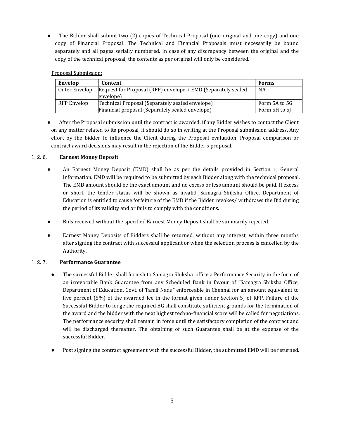The Bidder shall submit two (2) copies of Technical Proposal (one original and one copy) and one copy of Financial Proposal. The Technical and Financial Proposals must necessarily be bound separately and all pages serially numbered. In case of any discrepancy between the original and the copy of the technical proposal, the contents as per original will only be considered.

## Proposal Submission:

| Envelop       | Content                                                            | <b>Forms</b>  |
|---------------|--------------------------------------------------------------------|---------------|
| Outer Envelop | Request for Proposal (RFP) envelope + EMD (Separately sealed<br>NA |               |
|               | envelope)                                                          |               |
| RFP Envelop   | Technical Proposal (Separately sealed envelope)<br>Form 5A to 5G   |               |
|               | Financial proposal (Separately sealed envelope)                    | Form 5H to 5I |

• After the Proposal submission until the contract is awarded, if any Bidder wishes to contact the Client on any matter related to its proposal, it should do so in writing at the Proposal submission address. Any effort by the bidder to influence the Client during the Proposal evaluation, Proposal comparison or contract award decisions may result in the rejection of the Bidder's proposal.

### 1.2.6. **Earnest Money Deposit**

- <span id="page-7-0"></span>● An Earnest Money Deposit (EMD) shall be as per the details provided in Section 1, General Information. EMD will be required to be submitted by each Bidder along with the technical proposal. The EMD amount should be the exact amount and no excess or less amount should be paid. If excess or short, the tender status will be shown as invalid. Samagra Shiksha Office, Department of Education is entitled to cause forfeiture of the EMD if the Bidder revokes/ withdraws the Bid during the period of itsvalidity and or fails to comply with the conditions.
- Bids received without the specified Earnest Money Deposit shall be summarily rejected.
- Earnest Money Deposits of Bidders shall be returned, without any interest, within three months after signing the contract with successful applicant or when the selection process is cancelled by the Authority.

## 1.2.7. **Performance Guarantee**

- <span id="page-7-1"></span>● The successful Bidder shall furnish to Samagra Shiksha office a Performance Security in the form of an irrevocable Bank Guarantee from any Scheduled Bank in favour of **"**Samagra Shiksha Office, Department of Education, Govt. of Tamil Nadu" enforceable in Chennai for an amount equivalent to five percent (5%) of the awarded fee in the format given under Section 5J of RFP. Failure of the Successful Bidder to lodge the required BG shall constitute sufficient grounds for the termination of the award and the bidder with the next highest techno-financial score will be called for negotiations. The performance security shall remain in force until the satisfactory completion of the contract and will be discharged thereafter. The obtaining of such Guarantee shall be at the expense of the successful Bidder.
- Post signing the contract agreement with the successful Bidder, the submitted EMD will be returned.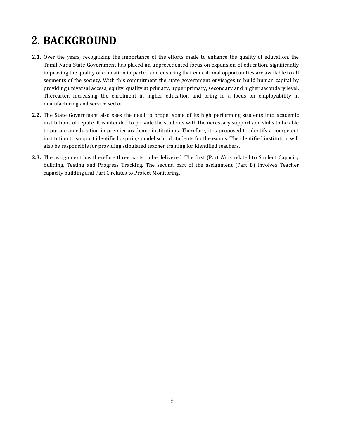# <span id="page-8-0"></span>2.**BACKGROUND**

- **2.1.** Over the years, recognizing the importance of the efforts made to enhance the quality of education, the Tamil Nadu State Government has placed an unprecedented focus on expansion of education, significantly improving the quality of education imparted and ensuring that educational opportunities are available to all segments of the society. With this commitment the state government envisages to build human capital by providing universal access, equity, quality at primary, upper primary, secondary and higher secondary level. Thereafter, increasing the enrolment in higher education and bring in a focus on employability in manufacturing and service sector.
- **2.2.** The State Government also sees the need to propel some of its high performing students into academic institutions of repute. It is intended to provide the students with the necessary support and skills to be able to pursue an education in premier academic institutions. Therefore, it is proposed to identify a competent institution to support identified aspiring model school students for the exams. The identified institution will also be responsible for providing stipulated teacher training for identified teachers.
- **2.3.** The assignment has therefore three parts to be delivered. The first (Part A) is related to Student Capacity building, Testing and Progress Tracking. The second part of the assignment (Part B) involves Teacher capacity building and Part C relates to Project Monitoring.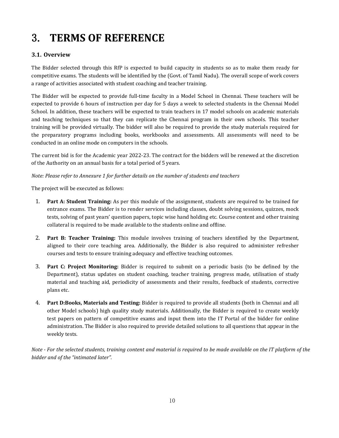# <span id="page-9-0"></span>3. **TERMS OF REFERENCE**

## **3.1. Overview**

The Bidder selected through this RfP is expected to build capacity in students so as to make them ready for competitive exams. The students will be identified by the (Govt. of Tamil Nadu). The overall scope of work covers a range of activities associated with student coaching and teacher training.

The Bidder will be expected to provide full-time faculty in a Model School in Chennai. These teachers will be expected to provide 6 hours of instruction per day for 5 daysa week to selected students in the Chennai Model School. In addition, these teachers will be expected to train teachers in 17 model schools on academic materials and teaching techniques so that they can replicate the Chennai program in their own schools. This teacher training will be provided virtually. The bidder will also be required to provide the study materials required for the preparatory programs including books, workbooks and assessments. All assessments will need to be conducted in an online mode on computers in the schools.

The current bid is for the Academic year 2022-23. The contract for the bidders will be renewed at the discretion of the Authority on an annual basis for a total period of 5 years.

*Note: Please refer to Annexure 1 for further details on the number of students and teachers*

The project will be executed as follows:

- 1. **Part A: Student Training:** As per this module of the assignment, students are required to be trained for entrance exams. The Bidder is to render services including classes, doubt solving sessions, quizzes, mock tests, solving of past years' question papers, topic wise hand holding etc. Course content and other training collateral is required to be made available to the students online and offline.
- 2. **Part B: Teacher Training:** This module involves training of teachers identified by the Department, aligned to their core teaching area. Additionally, the Bidder is also required to administer refresher courses and tests to ensure training adequacy and effective teaching outcomes.
- 3. **Part C: Project Monitoring:** Bidder is required to submit on a periodic basis (to be defined by the Department), status updates on student coaching, teacher training, progress made, utilisation of study material and teaching aid, periodicity of assessments and their results, feedback of students, corrective plans etc.
- 4. **Part D:Books, Materials and Testing:** Bidder is required to provide allstudents (both in Chennai and all other Model schools) high quality study materials. Additionally, the Bidder is required to create weekly test papers on pattern of competitive exams and input them into the IT Portal of the bidder for online administration. The Bidder is also required to provide detailed solutions to all questions that appear in the weekly tests.

Note - For the selected students, training content and material is required to be made available on the IT platform of the *bidder and of the "intimated later".*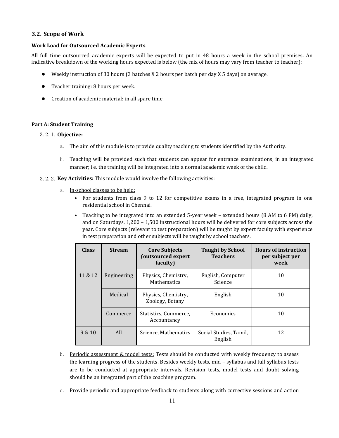#### **3.2. Scope of Work**

#### **Work Load for Outsourced Academic Experts**

All full time outsourced academic experts will be expected to put in 48 hours a week in the school premises. An indicative breakdown of the working hours expected is below (the mix of hours may vary from teacher to teacher):

- Weekly instruction of 30 hours (3 batches X 2 hours per batch per day X 5 days) on average.
- Teacher training: 8 hours per week.
- Creation of academic material: in all spare time.

#### <span id="page-10-0"></span>**Part A: Student Training**

#### 3.2.1.**Objective:**

- a. The aim of this module is to provide quality teaching to students identified by the Authority.
- b. Teaching will be provided such that students can appear for entrance examinations, in an integrated manner; i.e. the training will be integrated into a normal academic week of the child.
- 3.2.2.**Key Activities:** This module would involve the following activities:
	- a. In-school classes to be held:
		- For students from class 9 to 12 for competitive exams in a free, integrated program in one residential school in Chennai.
		- Teaching to be integrated into an extended 5-year week extended hours (8 AM to 6 PM) daily, and on Saturdays. 1,200 – 1,500 instructional hours will be delivered for core subjects across the year. Core subjects (relevant to test preparation) will be taught by expert faculty with experience in test preparation and other subjects will be taught by school teachers.

| <b>Class</b> | <b>Stream</b> | <b>Core Subjects</b><br>(outsourced expert<br>faculty) | <b>Taught by School</b><br><b>Teachers</b> | <b>Hours of instruction</b><br>per subject per<br>week |
|--------------|---------------|--------------------------------------------------------|--------------------------------------------|--------------------------------------------------------|
| 11 & 12      | Engineering   | Physics, Chemistry,<br><b>Mathematics</b>              | English, Computer<br>Science               | 10                                                     |
|              | Medical       | Physics, Chemistry,<br>Zoology, Botany                 | English                                    | 10                                                     |
|              | Commerce      | Statistics, Commerce,<br>Accountancy                   | Economics                                  | 10                                                     |
| 9 & 10       | All           | Science, Mathematics                                   | Social Studies, Tamil,<br>English          | 12                                                     |

- b. Periodic assessment & model tests: Tests should be conducted with weekly frequency to assess the learning progress of the students. Besides weekly tests, mid – syllabus and full syllabus tests are to be conducted at appropriate intervals. Revision tests, model tests and doubt solving should be an integrated part of the coaching program.
- c. Provide periodic and appropriate feedback to students along with corrective sessions and action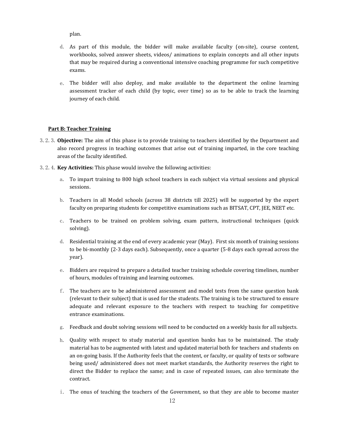plan.

- d. As part of this module, the bidder will make available faculty (on-site), course content, workbooks, solved answer sheets, videos/ animations to explain concepts and all other inputs that may be required during a conventional intensive coaching programme for such competitive exams.
- e. The bidder will also deploy, and make available to the department the online learning assessment tracker of each child (by topic, over time) so as to be able to track the learning journey of each child.

### <span id="page-11-0"></span>**Part B: Teacher Training**

- 3.2.3.**Objective:** The aim of this phase is to provide training to teachers identified by the Department and also record progress in teaching outcomes that arise out of training imparted, in the core teaching areas of the faculty identified.
- 3.2.4.**Key Activities:** This phase would involve the following activities:
	- a. To impart training to 800 high school teachers in each subject via virtual sessions and physical sessions.
	- b. Teachers in all Model schools (across 38 districts till 2025) will be supported by the expert faculty on preparing students for competitive examinations such as BITSAT, CPT, JEE, NEET etc.
	- c. Teachers to be trained on problem solving, exam pattern, instructional techniques (quick solving).
	- d. Residential training at the end of every academic year (May). First six month of training sessions to be bi-monthly (2-3 days each). Subsequently, once a quarter (5-8 days each spread across the year).
	- e. Bidders are required to prepare a detailed teacher training schedule covering timelines, number of hours, modules of training and learning outcomes.
	- f. The teachers are to be administered assessment and model tests from the same question bank (relevant to their subject) that is used for the students. The training is to be structured to ensure adequate and relevant exposure to the teachers with respect to teaching for competitive entrance examinations.
	- g. Feedback and doubt solving sessions will need to be conducted on a weekly basis for all subjects.
	- h. Quality with respect to study material and question banks has to be maintained. The study material has to be augmented with latest and updated material both for teachers and students on an on-going basis. If the Authority feels that the content, or faculty, or quality of tests or software being used/ administered does not meet market standards, the Authority reserves the right to direct the Bidder to replace the same; and in case of repeated issues, can also terminate the contract.
	- i. The onus of teaching the teachers of the Government, so that they are able to become master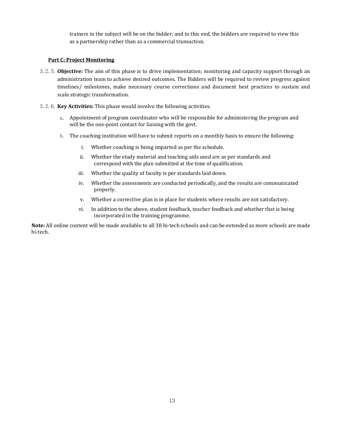trainers in the subject will be on the bidder; and to this end, the bidders are required to view this as a partnership rather than as a commercial transaction.

#### <span id="page-12-0"></span>**Part C: Project Monitoring**

- 3.2.5.**Objective:** The aim of this phase is to drive implementation; monitoring and capacity support through an administration team to achieve desired outcomes. The Bidders will be required to review progress against timelines/ milestones, make necessary course corrections and document best practices to sustain and scale strategic transformation.
- 3.2.6.**Key Activities:** This phase would involve the following activities.
	- a. Appointment of program coordinator who will be responsible for administering the program and will be the one-point contact for liaising with the govt.
	- b. The coaching institution will have to submit reports on a monthly basis to ensure the following:
		- i. Whether coaching is being imparted as per the schedule.
		- ii. Whether the study material and teaching aids used are as per standards and correspond with the plan submitted at the time of qualification.
		- iii. Whether the quality of faculty is per standards laid down.
		- iv. Whether the assessments are conducted periodically, and the results are communicated properly.
		- v. Whether a corrective plan is in place for students where results are not satisfactory.
		- vi. In addition to the above, student feedback, teacher feedback and whether that is being incorporated in the training programme.

**Note:** All online content will be made available to all 38 hi-tech schools and can be extended as more schools are made hi-tech.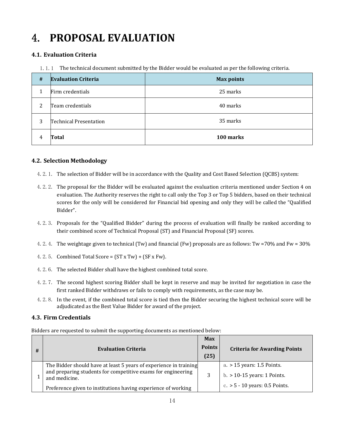# <span id="page-13-0"></span>4. **PROPOSAL EVALUATION**

# **4.1. Evaluation Criteria**

1.1.1 The technical document submitted by the Bidder would be evaluated as per the following criteria.

| # | <b>Evaluation Criteria</b> | <b>Max points</b> |
|---|----------------------------|-------------------|
|   | Firm credentials           | 25 marks          |
| 2 | Team credentials           | 40 marks          |
| 3 | Technical Presentation     | 35 marks          |
| 4 | Total                      | 100 marks         |

## **4.2. Selection Methodology**

- 4.2.1. The selection of Bidder will be in accordance with the Quality and Cost Based Selection (QCBS) system:
- 4.2.2. The proposalfor the Bidder will be evaluated against the evaluation criteria mentioned under Section 4 on evaluation. The Authority reserves the right to call only the Top 3 or Top 5 bidders, based on their technical scores for the only will be considered for Financial bid opening and only they will be called the "Qualified" Bidder".
- 4.2.3. Proposals for the "Qualified Bidder" during the process of evaluation will finally be ranked according to their combined score of Technical Proposal (ST) and Financial Proposal (SF) scores.
- 4.2.4. The weightage given to technical (Tw) and financial (Fw) proposals are as follows: Tw =70% and Fw = 30%
- 4.2.5. Combined Total Score =  $(ST x Tw) + (SF x Fw)$ .
- 4.2.6. The selected Bidder shall have the highest combined total score.
- 4.2.7. The second highest scoring Bidder shall be kept in reserve and may be invited for negotiation in case the first ranked Bidder withdraws or fails to comply with requirements, as the case may be.
- 4.2.8. In the event, if the combined total score is tied then the Bidder securing the highest technical score will be adjudicated as the Best Value Bidder for award of the project.

## **4.3. Firm Credentials**

Bidders are requested to submit the supporting documents as mentioned below:

| # | <b>Evaluation Criteria</b>                                                                                                                         | <b>Max</b><br><b>Points</b><br>(25) | <b>Criteria for Awarding Points</b>                         |
|---|----------------------------------------------------------------------------------------------------------------------------------------------------|-------------------------------------|-------------------------------------------------------------|
|   | The Bidder should have at least 5 years of experience in training<br>and preparing students for competitive exams for engineering<br>and medicine. |                                     | a. > 15 years: 1.5 Points.<br>$b. > 10-15$ years: 1 Points. |
|   | Preference given to institutions having experience of working                                                                                      |                                     | c. $> 5 - 10$ years: 0.5 Points.                            |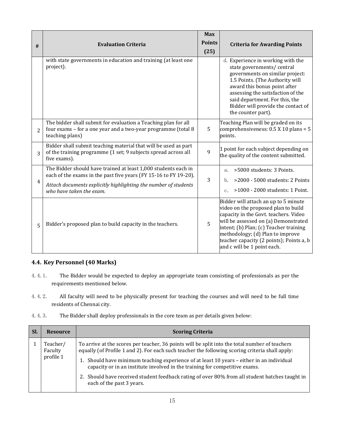| #              | <b>Evaluation Criteria</b>                                                                                                                                                                                                        | <b>Max</b><br><b>Points</b><br>(25) | <b>Criteria for Awarding Points</b>                                                                                                                                                                                                                                                                                   |
|----------------|-----------------------------------------------------------------------------------------------------------------------------------------------------------------------------------------------------------------------------------|-------------------------------------|-----------------------------------------------------------------------------------------------------------------------------------------------------------------------------------------------------------------------------------------------------------------------------------------------------------------------|
|                | with state governments in education and training (at least one<br>project).                                                                                                                                                       |                                     | d. Experience in working with the<br>state governments/central<br>governments on similar project:<br>1.5 Points. (The Authority will<br>award this bonus point after<br>assessing the satisfaction of the<br>said department. For this, the<br>Bidder will provide the contact of<br>the counter part).               |
| $\overline{2}$ | The bidder shall submit for evaluation a Teaching plan for all<br>four exams - for a one year and a two-year programme (total 8<br>teaching plans)                                                                                | 5                                   | Teaching Plan will be graded on its<br>comprehensiveness: $0.5$ X 10 plans = 5<br>points.                                                                                                                                                                                                                             |
| 3              | Bidder shall submit teaching material that will be used as part<br>of the training programme (1 set; 9 subjects spread across all<br>five exams).                                                                                 | 9                                   | 1 point for each subject depending on<br>the quality of the content submitted.                                                                                                                                                                                                                                        |
| $\overline{4}$ | The Bidder should have trained at least 1,000 students each in<br>each of the exams in the past five years (FY 15-16 to FY 19-20).<br>Attach documents explicitly highlighting the number of students<br>who have taken the exam. | 3                                   | >5000 students: 3 Points.<br>a.<br>>2000 - 5000 students: 2 Points<br>>1000 - 2000 students: 1 Point.<br>$c_{\star}$                                                                                                                                                                                                  |
| 5              | Bidder's proposed plan to build capacity in the teachers.                                                                                                                                                                         | 5                                   | Bidder will attach an up to 5 minute<br>video on the proposed plan to build<br>capacity in the Govt. teachers. Video<br>will be assessed on (a) Demonstrated<br>intent; (b) Plan; (c) Teacher training<br>methodology; (d) Plan to improve<br>teacher capacity (2 points); Points a, b<br>and c will be 1 point each. |

# **4.4. Key Personnel (40 Marks)**

- 4.4.1. The Bidder would be expected to deploy an appropriate team consisting of professionals as per the requirements mentioned below.
- 4.4.2. All faculty will need to be physically present for teaching the courses and will need to be full time residents of Chennai city.
- 4.4.3. The Bidder shall deploy professionals in the core team as per details given below:

| <b>SI</b><br><b>Scoring Criteria</b><br><b>Resource</b>                                                                                                                                                                                                                                                                                                                                                                                                                                                                                          |  |
|--------------------------------------------------------------------------------------------------------------------------------------------------------------------------------------------------------------------------------------------------------------------------------------------------------------------------------------------------------------------------------------------------------------------------------------------------------------------------------------------------------------------------------------------------|--|
| To arrive at the scores per teacher, 36 points will be split into the total number of teachers<br>Teacher/<br>equally (of Profile 1 and 2). For each such teacher the following scoring criteria shall apply:<br>Faculty<br>profile 1<br>1. Should have minimum teaching experience of at least 10 years - either in an individual<br>capacity or in an institute involved in the training for competitive exams.<br>2. Should have received student feedback rating of over 80% from all student batches taught in<br>each of the past 3 years. |  |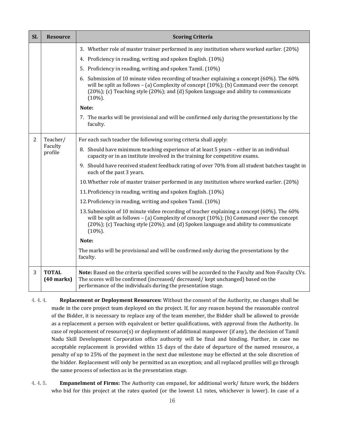| Sl.            | <b>Resource</b>              | <b>Scoring Criteria</b>                                                                                                                                                                                                                                                                                  |
|----------------|------------------------------|----------------------------------------------------------------------------------------------------------------------------------------------------------------------------------------------------------------------------------------------------------------------------------------------------------|
|                |                              | 3. Whether role of master trainer performed in any institution where worked earlier. (20%)                                                                                                                                                                                                               |
|                |                              | 4. Proficiency in reading, writing and spoken English. (10%)                                                                                                                                                                                                                                             |
|                |                              | 5. Proficiency in reading, writing and spoken Tamil. (10%)                                                                                                                                                                                                                                               |
|                |                              | 6. Submission of 10 minute video recording of teacher explaining a concept (60%). The 60%<br>will be split as follows $-$ (a) Complexity of concept $(10%)$ ; (b) Command over the concept<br>$(20\%)$ ; (c) Teaching style $(20\%)$ ; and (d) Spoken language and ability to communicate<br>$(10\%)$ .  |
|                |                              | Note:                                                                                                                                                                                                                                                                                                    |
|                |                              | 7. The marks will be provisional and will be confirmed only during the presentations by the<br>faculty.                                                                                                                                                                                                  |
| $\overline{2}$ | Teacher/                     | For each such teacher the following scoring criteria shall apply:                                                                                                                                                                                                                                        |
|                | Faculty<br>profile           | 8. Should have minimum teaching experience of at least 5 years - either in an individual<br>capacity or in an institute involved in the training for competitive exams.                                                                                                                                  |
|                |                              | 9. Should have received student feedback rating of over 70% from all student batches taught in<br>each of the past 3 years.                                                                                                                                                                              |
|                |                              | 10. Whether role of master trainer performed in any institution where worked earlier. (20%)                                                                                                                                                                                                              |
|                |                              | 11. Proficiency in reading, writing and spoken English. (10%)                                                                                                                                                                                                                                            |
|                |                              | 12. Proficiency in reading, writing and spoken Tamil. (10%)                                                                                                                                                                                                                                              |
|                |                              | 13. Submission of 10 minute video recording of teacher explaining a concept (60%). The 60%<br>will be split as follows $-$ (a) Complexity of concept $(10%)$ ; (b) Command over the concept<br>$(20\%)$ ; (c) Teaching style $(20\%)$ ; and (d) Spoken language and ability to communicate<br>$(10\%)$ . |
|                |                              | Note:                                                                                                                                                                                                                                                                                                    |
|                |                              | The marks will be provisional and will be confirmed only during the presentations by the<br>faculty.                                                                                                                                                                                                     |
| 3              | <b>TOTAL</b><br>$(40$ marks) | Note: Based on the criteria specified scores will be accorded to the Faculty and Non-Faculty CVs.<br>The scores will be confirmed (increased/decreased/kept unchanged) based on the<br>performance of the individuals during the presentation stage.                                                     |

4.4.4. **Replacement or Deployment Resources:** Without the consent of the Authority, no changes shall be made in the core project team deployed on the project. If, for any reason beyond the reasonable control of the Bidder, it is necessary to replace any of the team member, the Bidder shall be allowed to provide as a replacement a person with equivalent or better qualifications, with approval from the Authority. In case of replacement of resource(s) or deployment of additional manpower (if any), the decision of Tamil Nadu Skill Development Corporation office authority will be final and binding. Further, in case no acceptable replacement is provided within 15 days of the date of departure of the named resource, a penalty of up to 25% of the payment in the next due milestone may be effected at the sole discretion of the bidder. Replacement will only be permitted as an exception; and all replaced profiles willgo through the same process of selection as in the presentation stage.

4.4.5. **Empanelment of Firms:** The Authority can empanel, for additional work/ future work, the bidders who bid for this project at the rates quoted (or the lowest L1 rates, whichever is lower). In case of a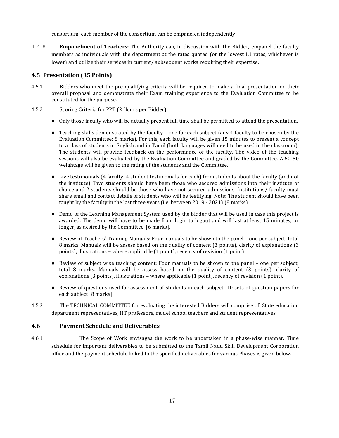consortium, each member of the consortium can be empaneled independently.

4.4.6. **Empanelment of Teachers:** The Authority can, in discussion with the Bidder, empanel the faculty members as individuals with the department at the rates quoted (or the lowest L1 rates, whichever is lower) and utilize their services in current/ subsequent works requiring their expertise.

## **4.5 Presentation (35 Points)**

- 4.5.1 Bidders who meet the pre-qualifying criteria will be required to make a final presentation on their overall proposal and demonstrate their Exam training experience to the Evaluation Committee to be constituted for the purpose.
- 4.5.2 Scoring Criteria for PPT (2 Hours per Bidder):
	- Only those faculty who will be actually present full time shall be permitted to attend the presentation.
	- Teaching skills demonstrated by the faculty one for each subject (any 4 faculty to be chosen by the Evaluation Committee; 8 marks). For this, each faculty will be given 15 minutes to present a concept to a class of students in English and in Tamil (both languages will need to be used in the classroom). The students will provide feedback on the performance of the faculty. The video of the teaching sessions will also be evaluated by the Evaluation Committee and graded by the Committee. A 50-50 weightage will be given to the rating of the students and the Committee.
	- Live testimonials (4 faculty; 4 student testimonials for each) from students about the faculty (and not the institute). Two students should have been those who secured admissions into their institute of choice and 2 students should be those who have not secured admissions. Institutions/ faculty must share email and contact details of students who will be testifying. Note: The student should have been taught by the faculty in the last three years (i.e. between 2019 - 2021) (8 marks)
	- Demo of the Learning Management System used by the bidder that will be used in case this project is awarded. The demo will have to be made from login to logout and willlast at least 15 minutes; or longer, as desired by the Committee. [6 marks].
	- Review of Teachers' Training Manuals: Four manuals to be shown to the panel one per subject; total 8 marks. Manuals will be assess based on the quality of content (3 points), clarity of explanations (3 points), illustrations – where applicable (1 point), recency of revision (1 point).
	- Review of subject wise teaching content: Four manuals to be shown to the panel one per subject; total 8 marks. Manuals will be assess based on the quality of content (3 points), clarity of explanations (3 points), illustrations – where applicable (1 point), recency of revision (1 point).
	- Review of questions used for assessment of students in each subject: 10 sets of question papers for each subject [8 marks].
- 4.5.3 The TECHNICAL COMMITTEE for evaluating the interested Bidders willcomprise of: State education department representatives, IIT professors, model school teachers and student representatives.

### **4.6 Payment Schedule and Deliverables**

4.6.1 The Scope of Work envisages the work to be undertaken in a phase-wise manner. Time schedule for important deliverables to be submitted to the Tamil Nadu Skill Development Corporation office and the payment schedule linked to the specified deliverables for various Phases is given below.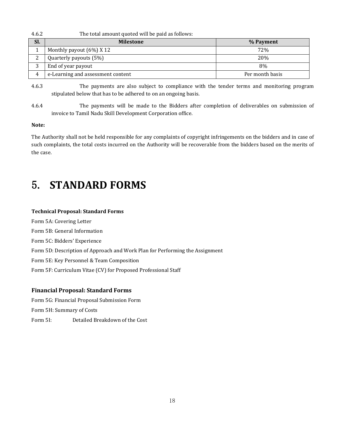| 4.6.2          | The total amount quoted will be paid as follows: |                 |
|----------------|--------------------------------------------------|-----------------|
| Sl.            | <b>Milestone</b>                                 | % Payment       |
|                | Monthly payout $(6%)$ X 12                       | 72%             |
|                | Quarterly payouts (5%)                           | 20%             |
|                | End of year payout                               | 8%              |
| $\overline{4}$ | e-Learning and assessment content                | Per month basis |

4.6.3 The payments are also subject to compliance with the tender terms and monitoring program stipulated below that has to be adhered to on an ongoing basis.

4.6.4 The payments will be made to the Bidders after completion of deliverables on submission of invoice to Tamil Nadu Skill Development Corporation office.

#### **Note:**

The Authority shall not be held responsible for any complaints of copyright infringements on the bidders and in case of such complaints, the total costs incurred on the Authority will be recoverable from the bidders based on the merits of the case.

# <span id="page-17-0"></span>5. **STANDARD FORMS**

#### **Technical Proposal: Standard Forms**

Form 5A: Covering Letter Form 5B: General Information Form 5C: Bidders' Experience Form 5D: Description of Approach and Work Plan for Performing the Assignment Form 5E: Key Personnel & Team Composition Form 5F: Curriculum Vitae (CV) for Proposed Professional Staff

#### **Financial Proposal: Standard Forms**

Form 5G: Financial Proposal Submission Form Form 5H: Summary of Costs Form 5I: Detailed Breakdown of the Cost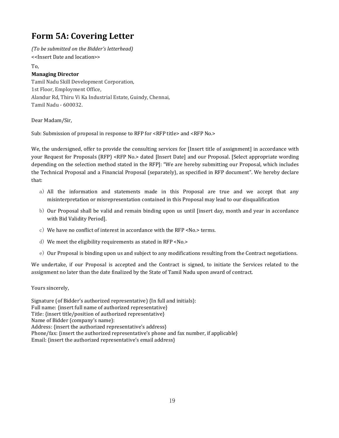# <span id="page-18-0"></span>**Form 5A: Covering Letter**

*(To be submitted on the Bidder's letterhead)* <<Insert Date and location>> To, **Managing Director** Tamil Nadu Skill Development Corporation, 1st Floor, Employment Office, Alandur Rd, Thiru Vi Ka Industrial Estate, Guindy, Chennai, Tamil Nadu - 600032.

Dear Madam/Sir,

Sub: Submission of proposal in response to RFP for <RFP title> and <RFP No.>

We, the undersigned, offer to provide the consulting services for [Insert title of assignment] in accordance with your Request for Proposals (RFP) <RFP No.> dated [Insert Date] and our Proposal. [Select appropriate wording depending on the selection method stated in the RFP]: "We are hereby submitting our Proposal, which includes the Technical Proposal and a Financial Proposal (separately), as specified in RFP document". We hereby declare that:

- a) All the information and statements made in this Proposal are true and we accept that any misinterpretation or misrepresentation contained in this Proposal may lead to our disqualification
- b) Our Proposal shall be valid and remain binding upon us until [insert day, month and year in accordance with Bid Validity Period].
- c) We have no conflict of interest in accordance with the RFP <No.> terms.
- d) We meet the eligibility requirements as stated in RFP <No.>
- e) Our Proposal is binding upon us and subject to any modifications resulting from the Contract negotiations.

We undertake, if our Proposal is accepted and the Contract is signed, to initiate the Services related to the assignment no later than the date finalized by the State of Tamil Nadu upon award of contract.

Yours sincerely,

Signature (of Bidder's authorized representative) {In full and initials}: Full name: {insert full name of authorized representative} Title: {insert title/position of authorized representative} Name of Bidder (company's name): Address: {insert the authorized representative's address} Phone/fax: {insert the authorized representative's phone and fax number, if applicable} Email: {insert the authorized representative's email address}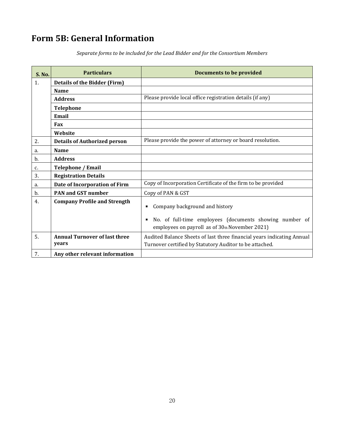# <span id="page-19-0"></span>**Form 5B: General Information**

*Separate forms to be included for the Lead Bidder and for the Consortium Members*

| <b>S. No.</b>    | <b>Particulars</b>                                                                            | <b>Documents to be provided</b>                                                                                                   |  |
|------------------|-----------------------------------------------------------------------------------------------|-----------------------------------------------------------------------------------------------------------------------------------|--|
| 1.               | <b>Details of the Bidder (Firm)</b>                                                           |                                                                                                                                   |  |
|                  | <b>Name</b>                                                                                   |                                                                                                                                   |  |
|                  | <b>Address</b>                                                                                | Please provide local office registration details (if any)                                                                         |  |
|                  | <b>Telephone</b>                                                                              |                                                                                                                                   |  |
|                  | <b>Email</b>                                                                                  |                                                                                                                                   |  |
|                  | Fax                                                                                           |                                                                                                                                   |  |
|                  | Website                                                                                       |                                                                                                                                   |  |
| 2.               | <b>Details of Authorized person</b>                                                           | Please provide the power of attorney or board resolution.                                                                         |  |
| a.               | <b>Name</b>                                                                                   |                                                                                                                                   |  |
| b.               | <b>Address</b>                                                                                |                                                                                                                                   |  |
| c.               | <b>Telephone / Email</b>                                                                      |                                                                                                                                   |  |
| 3.               | <b>Registration Details</b>                                                                   |                                                                                                                                   |  |
| a.               | Copy of Incorporation Certificate of the firm to be provided<br>Date of Incorporation of Firm |                                                                                                                                   |  |
| b.               | <b>PAN and GST number</b>                                                                     | Copy of PAN & GST                                                                                                                 |  |
| $\overline{4}$ . | <b>Company Profile and Strength</b><br>Company background and history<br>п                    |                                                                                                                                   |  |
|                  |                                                                                               | No. of full-time employees (documents showing number of<br>п<br>employees on payroll as of 30th November 2021)                    |  |
| 5.               | <b>Annual Turnover of last three</b><br>years                                                 | Audited Balance Sheets of last three financial years indicating Annual<br>Turnover certified by Statutory Auditor to be attached. |  |
| 7.               | Any other relevant information                                                                |                                                                                                                                   |  |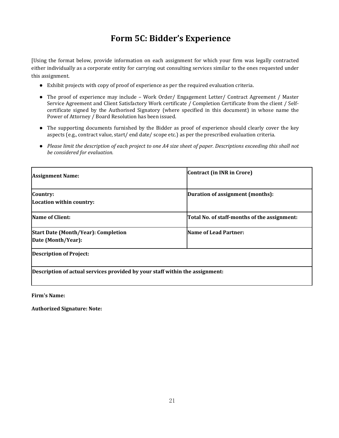# <span id="page-20-0"></span>**Form 5C: Bidder's Experience**

[Using the format below, provide information on each assignment for which your firm was legally contracted either individually as a corporate entity for carrying out consulting services similar to the ones requested under this assignment.

- Exhibit projects with copy of proof of experience as per the required evaluation criteria.
- The proof of experience may include Work Order/ Engagement Letter/ Contract Agreement / Master Service Agreement and Client Satisfactory Work certificate / Completion Certificate from the client / Self certificate signed by the Authorised Signatory (where specified in this document) in whose name the Power of Attorney / Board Resolution has been issued.
- The supporting documents furnished by the Bidder as proof of experience should clearly cover the key aspects (e.g., contract value, start/ end date/ scope etc.) as per the prescribed evaluation criteria.
- Please limit the description of each project to one A4 size sheet of paper. Descriptions exceeding this shall not *be considered for evaluation.*

| <b>Assignment Name:</b>                                                      | Contract (in INR in Crore)                   |
|------------------------------------------------------------------------------|----------------------------------------------|
| Country:<br>Location within country:                                         | Duration of assignment (months):             |
| <b>Name of Client:</b>                                                       | Total No. of staff-months of the assignment: |
| <b>Start Date (Month/Year): Completion</b><br>Date (Month/Year):             | <b>Name of Lead Partner:</b>                 |
| Description of Project:                                                      |                                              |
| Description of actual services provided by your staff within the assignment: |                                              |

**Firm's Name:**

**Authorized Signature: Note:**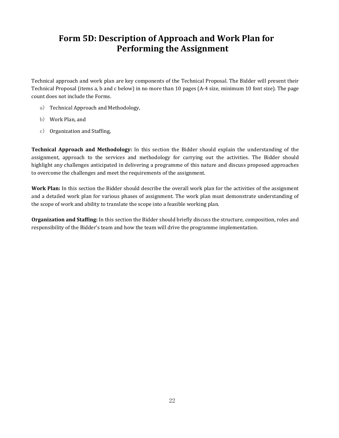# <span id="page-21-0"></span>**Form 5D: Description of Approach and Work Plan for Performing the Assignment**

Technical approach and work plan are key components of the Technical Proposal. The Bidder will present their Technical Proposal (items a, b and c below) in no more than 10 pages (A-4 size, minimum 10 font size). The page count does not include the Forms.

- a) Technical Approach and Methodology,
- b) Work Plan, and
- c) Organization and Staffing,

**Technical Approach and Methodology:** In this section the Bidder should explain the understanding of the assignment, approach to the services and methodology for carrying out the activities. The Bidder should highlight any challenges anticipated in delivering a programme of this nature and discuss proposed approaches to overcome the challenges and meet the requirements of the assignment.

**Work Plan:** In this section the Bidder should describe the overall work plan for the activities of the assignment and a detailed work plan for various phases of assignment. The work plan must demonstrate understanding of the scope of work and ability to translate the scope into a feasible working plan.

**Organization and Staffing:** In this section the Bidder should briefly discuss the structure, composition, roles and responsibility of the Bidder's team and how the team will drive the programme implementation.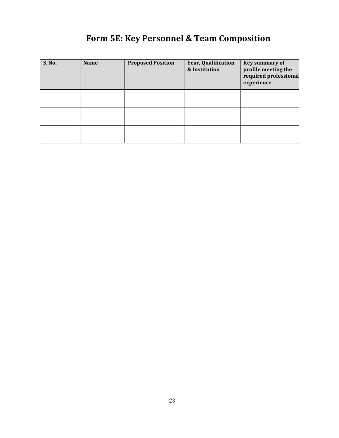| S. No. | <b>Name</b> | <b>Proposed Position</b> | Year, Qualification<br>& Institution | <b>Key summary of</b><br>profile meeting the<br>required professional<br>experience |
|--------|-------------|--------------------------|--------------------------------------|-------------------------------------------------------------------------------------|
|        |             |                          |                                      |                                                                                     |
|        |             |                          |                                      |                                                                                     |

# <span id="page-22-0"></span>**Form 5E: Key Personnel & Team Composition**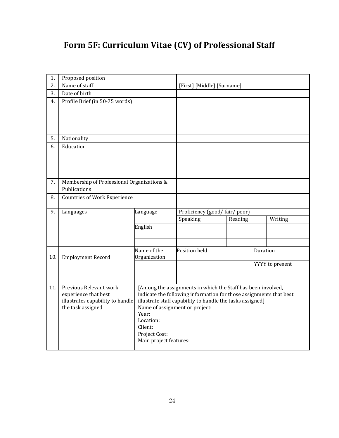# **Form 5F: Curriculum Vitae (CV) of Professional Staff**

| 1.  | Proposed position                          |                        |                                                                    |         |                 |  |
|-----|--------------------------------------------|------------------------|--------------------------------------------------------------------|---------|-----------------|--|
| 2.  | Name of staff                              |                        | [First] [Middle] [Surname]                                         |         |                 |  |
| 3.  | Date of birth                              |                        |                                                                    |         |                 |  |
| 4.  | Profile Brief (in 50-75 words)             |                        |                                                                    |         |                 |  |
|     |                                            |                        |                                                                    |         |                 |  |
|     |                                            |                        |                                                                    |         |                 |  |
|     |                                            |                        |                                                                    |         |                 |  |
|     |                                            |                        |                                                                    |         |                 |  |
| 5.  | Nationality                                |                        |                                                                    |         |                 |  |
| 6.  | Education                                  |                        |                                                                    |         |                 |  |
|     |                                            |                        |                                                                    |         |                 |  |
|     |                                            |                        |                                                                    |         |                 |  |
|     |                                            |                        |                                                                    |         |                 |  |
| 7.  | Membership of Professional Organizations & |                        |                                                                    |         |                 |  |
|     | Publications                               |                        |                                                                    |         |                 |  |
| 8.  | <b>Countries of Work Experience</b>        |                        |                                                                    |         |                 |  |
|     |                                            |                        |                                                                    |         |                 |  |
| 9.  | Languages                                  | Language               | Proficiency (good/fair/poor)                                       |         |                 |  |
|     |                                            | English                | Speaking                                                           | Reading | Writing         |  |
|     |                                            |                        |                                                                    |         |                 |  |
|     |                                            |                        |                                                                    |         |                 |  |
|     |                                            | Name of the            | Position held                                                      |         | Duration        |  |
| 10. | <b>Employment Record</b>                   | Organization           |                                                                    |         |                 |  |
|     |                                            |                        |                                                                    |         | YYYY to present |  |
|     |                                            |                        |                                                                    |         |                 |  |
|     |                                            |                        |                                                                    |         |                 |  |
| 11. | Previous Relevant work                     |                        | [Among the assignments in which the Staff has been involved,       |         |                 |  |
|     | experience that best                       |                        | indicate the following information for those assignments that best |         |                 |  |
|     | illustrates capability to handle           |                        | illustrate staff capability to handle the tasks assigned]          |         |                 |  |
|     | the task assigned                          | Year:                  | Name of assignment or project:                                     |         |                 |  |
|     |                                            | Location:              |                                                                    |         |                 |  |
|     |                                            | Client:                |                                                                    |         |                 |  |
|     |                                            | Project Cost:          |                                                                    |         |                 |  |
|     |                                            | Main project features: |                                                                    |         |                 |  |
|     |                                            |                        |                                                                    |         |                 |  |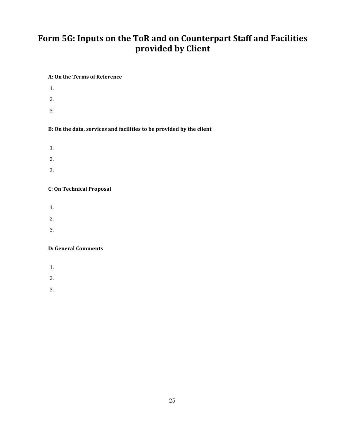# <span id="page-24-0"></span>**Form 5G: Inputs on the ToR and on Counterpart Staff and Facilities provided by Client**

### <span id="page-24-1"></span>**A: On the Terms of Reference**

- 1.
- 2.
- 3.

## <span id="page-24-2"></span>**B: On the data, services and facilities to be provided by the client**

- 1.
- 2.
- 3.

## <span id="page-24-3"></span>**C: On Technical Proposal**

- 1.
- 2.
- 
- 3.

## <span id="page-24-4"></span>**D: General Comments**

- 1.
- 2.
- 3.
-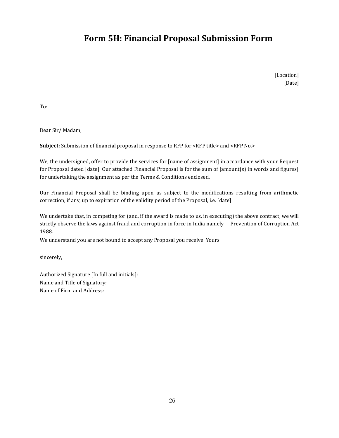# <span id="page-25-0"></span>**Form 5H: Financial Proposal Submission Form**

[Location] [Date]

To:

Dear Sir/ Madam,

**Subject:** Submission of financial proposal in response to RFP for <RFP title> and <RFP No.>

We, the undersigned, offer to provide the services for [name of assignment] in accordance with your Request for Proposal dated [date]. Our attached Financial Proposal is for the sum of [amount(s) in words and figures] for undertaking the assignment as per the Terms & Conditions enclosed.

Our Financial Proposal shall be binding upon us subject to the modifications resulting from arithmetic correction, if any, up to expiration of the validity period of the Proposal, i.e. [date].

We undertake that, in competing for (and, if the award is made to us, in executing) the above contract, we will strictly observe the laws against fraud and corruption in force in India namely ― Prevention of Corruption Act 1988.

We understand you are not bound to accept any Proposal you receive. Yours

sincerely,

Authorized Signature [In full and initials]: Name and Title of Signatory: Name of Firm and Address: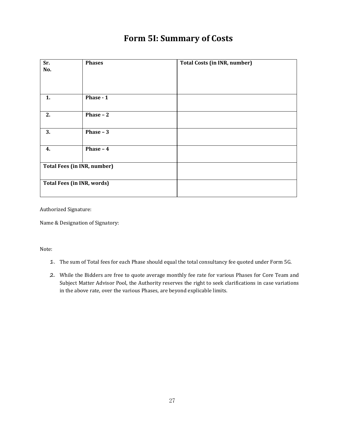# <span id="page-26-0"></span>**Form 5I: Summary of Costs**

| Sr.<br>No.                         | <b>Phases</b>    | <b>Total Costs (in INR, number)</b> |
|------------------------------------|------------------|-------------------------------------|
| 1.                                 | Phase - 1        |                                     |
| 2.                                 | <b>Phase - 2</b> |                                     |
| 3.                                 | Phase $-3$       |                                     |
| 4.                                 | Phase - 4        |                                     |
| <b>Total Fees (in INR, number)</b> |                  |                                     |
| <b>Total Fees (in INR, words)</b>  |                  |                                     |

Authorized Signature:

Name & Designation of Signatory:<br>Note:<br>Note:

- 1. The sum of Total fees for each Phase should equal the total consultancy fee quoted under Form 5G.
- 2. While the Bidders are free to quote average monthly fee rate for various Phases for Core Team and Subject Matter Advisor Pool, the Authority reserves the right to seek clarifications in case variations in the above rate, over the various Phases, are beyond explicable limits.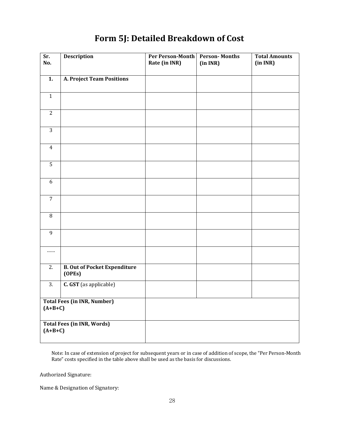| Sr.<br>No.       | <b>Description</b>                            | Per Person-Month<br>Rate (in INR) | <b>Person-Months</b><br>(in INR) | <b>Total Amounts</b><br>(in INR) |  |
|------------------|-----------------------------------------------|-----------------------------------|----------------------------------|----------------------------------|--|
|                  |                                               |                                   |                                  |                                  |  |
| 1.               | A. Project Team Positions                     |                                   |                                  |                                  |  |
| $\mathbf{1}$     |                                               |                                   |                                  |                                  |  |
| $\sqrt{2}$       |                                               |                                   |                                  |                                  |  |
| $\overline{3}$   |                                               |                                   |                                  |                                  |  |
| $\overline{4}$   |                                               |                                   |                                  |                                  |  |
| $\overline{5}$   |                                               |                                   |                                  |                                  |  |
| $\boldsymbol{6}$ |                                               |                                   |                                  |                                  |  |
| $\overline{7}$   |                                               |                                   |                                  |                                  |  |
| $\, 8$           |                                               |                                   |                                  |                                  |  |
| $\overline{9}$   |                                               |                                   |                                  |                                  |  |
|                  |                                               |                                   |                                  |                                  |  |
| 2.               | <b>B. Out of Pocket Expenditure</b><br>(OPEs) |                                   |                                  |                                  |  |
| 3.               | C. GST (as applicable)                        |                                   |                                  |                                  |  |
| $(A+B+C)$        | <b>Total Fees (in INR, Number)</b>            |                                   |                                  |                                  |  |
| $(A+B+C)$        | <b>Total Fees (in INR, Words)</b>             |                                   |                                  |                                  |  |

# <span id="page-27-0"></span>**Form 5J: Detailed Breakdown of Cost**

Note: In case of extension of project for subsequent years or in case of addition of scope, the "Per Person-Month Rate" costs specified in the table above shall be used as the basis for discussions.

Authorized Signature:

Name & Designation of Signatory: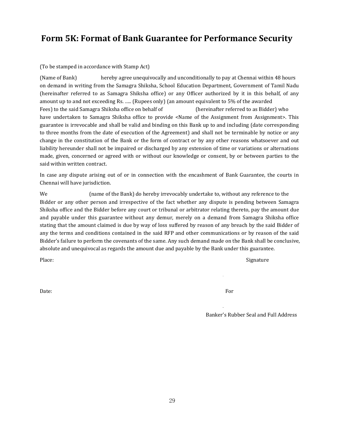# <span id="page-28-0"></span>**Form 5K: Format of Bank Guarantee for Performance Security**

### <span id="page-28-1"></span>(To be stamped in accordance with Stamp Act)

(Name of Bank) hereby agree unequivocally and unconditionally to pay at Chennai within 48 hours on demand in writing from the Samagra Shiksha, School Education Department, Government of Tamil Nadu (hereinafter referred to as Samagra Shiksha office) or any Officer authorized by it in this behalf, of any amount up to and not exceeding Rs. ….. (Rupees only) (an amount equivalent to 5% of the awarded Fees) to the said Samagra Shiksha office on behalf of (hereinafter referred to as Bidder) who have undertaken to Samagra Shiksha office to provide <Name of the Assignment from Assignment>. This guarantee is irrevocable and shall be valid and binding on this Bank up to and including (date corresponding to three months from the date of execution of the Agreement) and shall not be terminable by notice or any change in the constitution of the Bank or the form of contract or by any other reasons whatsoever and out liability hereunder shall not be impaired or discharged by any extension of time or variations or alternations made, given, concerned or agreed with or without our knowledge or consent, by or between parties to the said within written contract.

In case any dispute arising out of or in connection with the encashment of Bank Guarantee, the courts in Chennai will have jurisdiction.<br>We (name of the Bank) do hereby irrevocably undertake to, without any reference to the

Bidder or any other person and irrespective of the fact whether any dispute is pending between Samagra Shiksha office and the Bidder before any court or tribunal or arbitrator relating thereto, pay the amount due and payable under this guarantee without any demur, merely on a demand from Samagra Shiksha office stating that the amount claimed is due by way of loss suffered by reason of any breach by the said Bidder of any the terms and conditions contained in the said RFP and other communications or by reason of the said Bidder's failure to perform the covenants of the same. Any such demand made on the Bank shall be conclusive, absolute and unequivocal as regards the amount due and payable by the Bank under this guarantee.

Place: Signature is a state of the state of the state of the state of the Signature is stated to the state of the state of the state of the state of the state of the state of the state of the state of the state of the stat

Date: The contract of the contract of the contract of the contract of the contract of the contract of the contract of the contract of the contract of the contract of the contract of the contract of the contract of the cont

Banker's Rubber Seal and Full Address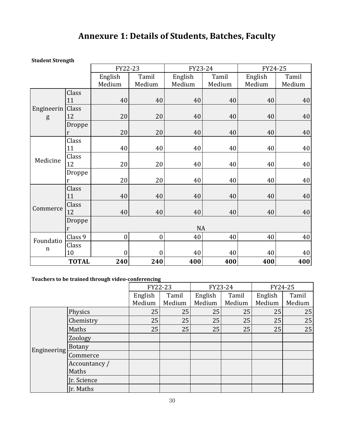# **Annexure 1: Details of Students, Batches, Faculty**

**Student Strength**

|                    | ັ            |                  |              |         |        |                  |        |  |
|--------------------|--------------|------------------|--------------|---------|--------|------------------|--------|--|
|                    |              | FY22-23          |              | FY23-24 |        | FY24-25          |        |  |
|                    |              | English          | Tamil        | English | Tamil  | Tamil<br>English |        |  |
|                    |              | Medium           | Medium       | Medium  | Medium | Medium           | Medium |  |
|                    | Class        |                  |              |         |        |                  |        |  |
|                    | 11           | 40               | 40           | 40      | 40     | 40               | 40     |  |
| Engineerin   Class |              |                  |              |         |        |                  |        |  |
| g                  | 12           | 20               | 20           | 40      | 40     | 40               | 40     |  |
|                    | Droppe       |                  |              |         |        |                  |        |  |
|                    | r            | 20               | 20           | 40      | 40     | 40               | 40     |  |
|                    | Class        |                  |              |         |        |                  |        |  |
|                    | 11           | 40               | 40           | 40      | 40     | 40               | 40     |  |
| Medicine           | Class        |                  |              |         |        |                  |        |  |
|                    | 12           | 20               | 20           | 40      | 40     | 40               | 40     |  |
|                    | Droppe       |                  |              |         |        |                  |        |  |
|                    | r            | 20               | 20           | 40      | 40     | 40               | 40     |  |
|                    | Class        |                  |              |         |        |                  |        |  |
|                    | 11           | 40               | 40           | 40      | 40     | 40               | 40     |  |
| Commerce           | Class        |                  |              |         |        |                  |        |  |
|                    | 12           | 40               | 40           | 40      | 40     | 40               | 40     |  |
|                    | Droppe       |                  |              |         |        |                  |        |  |
|                    | r            |                  |              | NA      |        |                  |        |  |
| Foundatio          | Class 9      | $\boldsymbol{0}$ | $\mathbf{0}$ | 40      | 40     | 40               | 40     |  |
| $\mathbf n$        | Class        |                  |              |         |        |                  |        |  |
|                    | 10           | $\theta$         | $\theta$     | 40      | 40     | 40               | 40     |  |
|                    | <b>TOTAL</b> | 240              | 240          | 400     | 400    | 400              | 400    |  |

# **Teachers to be trained through video-conferencing**

|  |                        | FY22-23 |        | FY23-24 |        | FY24-25 |        |  |
|--|------------------------|---------|--------|---------|--------|---------|--------|--|
|  |                        | English | Tamil  | English | Tamil  | English | Tamil  |  |
|  |                        | Medium  | Medium | Medium  | Medium | Medium  | Medium |  |
|  | Physics                | 25      | 25     | 25      | 25     | 25      | 25     |  |
|  | Chemistry              | 25      | 25     | 25      | 25     | 25      | 25     |  |
|  | Maths                  | 25      | 25     | 25      | 25     | 25      | 25     |  |
|  | Zoology                |         |        |         |        |         |        |  |
|  |                        |         |        |         |        |         |        |  |
|  | Engineering Commerce   |         |        |         |        |         |        |  |
|  | Accountancy /<br>Maths |         |        |         |        |         |        |  |
|  | Ir. Science            |         |        |         |        |         |        |  |
|  | Ir. Maths              |         |        |         |        |         |        |  |